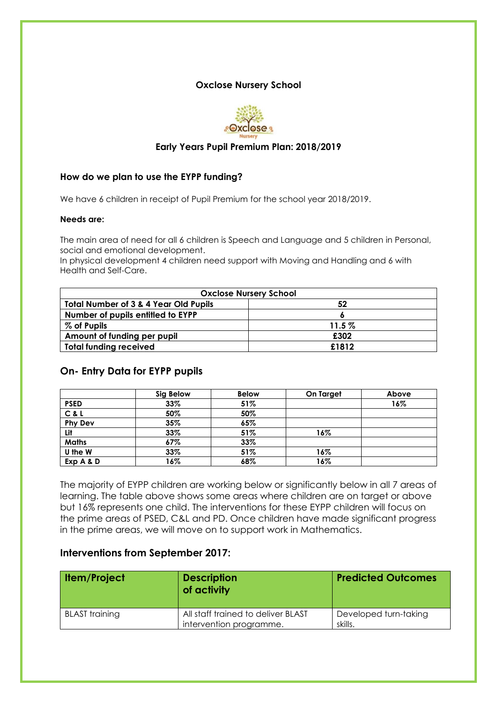## **Oxclose Nursery School**



## **Early Years Pupil Premium Plan: 2018/2019**

### **How do we plan to use the EYPP funding?**

We have 6 children in receipt of Pupil Premium for the school year 2018/2019.

#### **Needs are:**

The main area of need for all 6 children is Speech and Language and 5 children in Personal, social and emotional development.

In physical development 4 children need support with Moving and Handling and 6 with Health and Self-Care.

| <b>Oxclose Nursery School</b>                    |          |  |  |
|--------------------------------------------------|----------|--|--|
| <b>Total Number of 3 &amp; 4 Year Old Pupils</b> | 52       |  |  |
| Number of pupils entitled to EYPP                |          |  |  |
| % of Pupils                                      | $11.5\%$ |  |  |
| Amount of funding per pupil                      | £302     |  |  |
| <b>Total funding received</b>                    | £1812    |  |  |

## **On- Entry Data for EYPP pupils**

|                | Sig Below | <b>Below</b> | On Target | Above |
|----------------|-----------|--------------|-----------|-------|
| <b>PSED</b>    | $33\%$    | 51%          |           | 16%   |
| C & L          | 50%       | 50%          |           |       |
| <b>Phy Dev</b> | 35%       | 65%          |           |       |
| Lit            | 33%       | 51%          | 16%       |       |
| <b>Maths</b>   | 67%       | 33%          |           |       |
| U the W        | 33%       | 51%          | 16%       |       |
| Exp A & D      | 16%       | 68%          | 16%       |       |

The majority of EYPP children are working below or significantly below in all 7 areas of learning. The table above shows some areas where children are on target or above but 16% represents one child. The interventions for these EYPP children will focus on the prime areas of PSED, C&L and PD. Once children have made significant progress in the prime areas, we will move on to support work in Mathematics.

## **Interventions from September 2017:**

| <b>Item/Project</b>   | <b>Description</b><br>of activity                             | <b>Predicted Outcomes</b>        |
|-----------------------|---------------------------------------------------------------|----------------------------------|
| <b>BLAST</b> training | All staff trained to deliver BLAST<br>intervention programme. | Developed turn-taking<br>skills. |